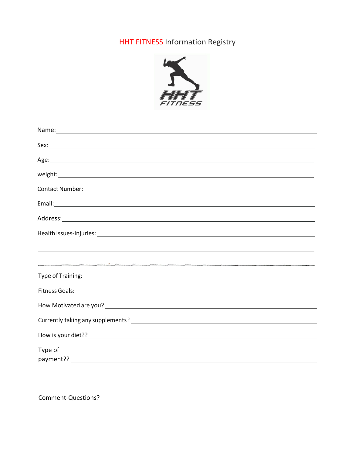### HHT FITNESS Information Registry



| ,我们也不会有什么。""我们的人,我们也不会有什么?""我们的人,我们也不会有什么?""我们的人,我们也不会有什么?""我们的人,我们也不会有什么?""我们的人                                                                                                                                               |
|--------------------------------------------------------------------------------------------------------------------------------------------------------------------------------------------------------------------------------|
|                                                                                                                                                                                                                                |
| Type of Training: 1999 Contract to the Contract of Training: 1999 Contract of Training: 1999 Contract of Training: 1999 Contract of Training: 1999 Contract of Training: 1999 Contract of Training: 1999 Contract of Training: |
|                                                                                                                                                                                                                                |
|                                                                                                                                                                                                                                |
|                                                                                                                                                                                                                                |
|                                                                                                                                                                                                                                |
| Type of                                                                                                                                                                                                                        |

Comment-Questions?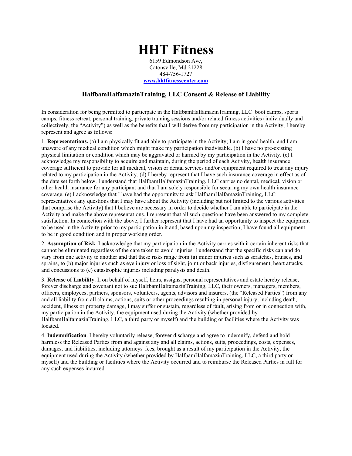# **HHT Fitness**

6159 Edmondson Ave, Catonsville, Md 21228 484-756-1727 **[www.hhtfitnesscenter.com](http://www.hhtfitness.com/)**

#### **HalfbamHalfamazinTraining, LLC Consent & Release of Liability**

In consideration for being permitted to participate in the HalfbamHalfamazinTraining, LLC boot camps, sports camps, fitness retreat, personal training, private training sessions and/or related fitness activities (individually and collectively, the "Activity") as well as the benefits that I will derive from my participation in the Activity, I hereby represent and agree as follows:

1. **Representations.** (a) I am physically fit and able to participate in the Activity; I am in good health, and I am unaware of any medical condition which might make my participation inadvisable. (b) I have no pre-existing physical limitation or condition which may be aggravated or harmed by my participation in the Activity. (c) I acknowledge my responsibility to acquire and maintain, during the period of each Activity, health insurance coverage sufficient to provide for all medical, vision or dental services and/or equipment required to treat any injury related to my participation in the Activity. (d) I hereby represent that I have such insurance coverage in effect as of the date set forth below. I understand that HalfbamHalfamazinTraining, LLC carries no dental, medical, vision or other health insurance for any participant and that I am solely responsible for securing my own health insurance coverage. (e) I acknowledge that I have had the opportunity to ask HalfbamHalfamazinTraining, LLC representatives any questions that I may have about the Activity (including but not limited to the various activities that comprise the Activity) that I believe are necessary in order to decide whether I am able to participate in the Activity and make the above representations. I represent that all such questions have been answered to my complete satisfaction. In connection with the above, I further represent that I have had an opportunity to inspect the equipment to be used in the Activity prior to my participation in it and, based upon my inspection; I have found all equipment to be in good condition and in proper working order.

2. **Assumption of Risk**. I acknowledge that my participation in the Activity carries with it certain inherent risks that cannot be eliminated regardless of the care taken to avoid injuries. I understand that the specific risks can and do vary from one activity to another and that these risks range from (a) minor injuries such as scratches, bruises, and sprains, to (b) major injuries such as eye injury or loss of sight, joint or back injuries, disfigurement, heart attacks, and concussions to (c) catastrophic injuries including paralysis and death.

3. **Release of Liability**. I, on behalf of myself, heirs, assigns, personal representatives and estate hereby release, forever discharge and covenant not to sue HalfbamHalfamazinTraining, LLC, their owners, managers, members, officers, employees, partners, sponsors, volunteers, agents, advisors and insurers, (the "Released Parties") from any and all liability from all claims, actions, suits or other proceedings resulting in personal injury, including death, accident, illness or property damage, I may suffer or sustain, regardless of fault, arising from or in connection with, my participation in the Activity, the equipment used during the Activity (whether provided by HalfbamHalfamazinTraining, LLC, a third party or myself) and the building or facilities where the Activity was located.

4. **Indemnification**. I hereby voluntarily release, forever discharge and agree to indemnify, defend and hold harmless the Released Parties from and against any and all claims, actions, suits, proceedings, costs, expenses, damages, and liabilities, including attorneys' fees, brought as a result of my participation in the Activity, the equipment used during the Activity (whether provided by HalfbamHalfamazinTraining, LLC, a third party or myself) and the building or facilities where the Activity occurred and to reimburse the Released Parties in full for any such expenses incurred.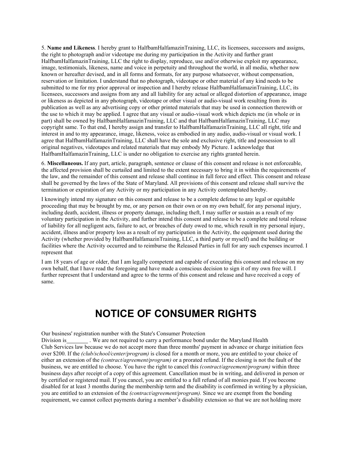5. **Name and Likeness**. I hereby grant to HalfbamHalfamazinTraining, LLC, its licensees, successors and assigns, the right to photograph and/or videotape me during my participation in the Activity and further grant HalfbamHalfamazinTraining, LLC the right to display, reproduce, use and/or otherwise exploit my appearance, image, testimonials, likeness, name and voice in perpetuity and throughout the world, in all media, whether now known or hereafter devised, and in all forms and formats, for any purpose whatsoever, without compensation, reservation or limitation. I understand that no photograph, videotape or other material of any kind needs to be submitted to me for my prior approval or inspection and I hereby release HalfbamHalfamazinTraining, LLC, its licensees, successors and assigns from any and all liability for any actual or alleged distortion of appearance, image or likeness as depicted in any photograph, videotape or other visual or audio-visual work resulting from its publication as well as any advertising copy or other printed materials that may be used in connection therewith or the use to which it may be applied. I agree that any visual or audio-visual work which depicts me (in whole or in part) shall be owned by HalfbamHalfamazinTraining, LLC and that HalfbamHalfamazinTraining, LLC may copyright same. To that end, I hereby assign and transfer to HalfbamHalfamazinTraining, LLC all right, title and interest in and to my appearance, image, likeness, voice as embodied in any audio, audio-visual or visual work. I agree that HalfbamHalfamazinTraining, LLC shall have the sole and exclusive right, title and possession to all original negatives, videotapes and related materials that may embody My Picture. I acknowledge that HalfbamHalfamazinTraining, LLC is under no obligation to exercise any rights granted herein.

6. **Miscellaneous.** If any part, article, paragraph, sentence or clause of this consent and release is not enforceable, the affected provision shall be curtailed and limited to the extent necessary to bring it in within the requirements of the law, and the remainder of this consent and release shall continue in full force and effect. This consent and release shall be governed by the laws of the State of Maryland. All provisions of this consent and release shall survive the termination or expiration of any Activity or my participation in any Activity contemplated hereby.

I knowingly intend my signature on this consent and release to be a complete defense to any legal or equitable proceeding that may be brought by me, or any person on their own or on my own behalf, for any personal injury, including death, accident, illness or property damage, including theft, I may suffer or sustain as a result of my voluntary participation in the Activity, and further intend this consent and release to be a complete and total release of liability for all negligent acts, failure to act, or breaches of duty owed to me, which result in my personal injury, accident, illness and/or property loss as a result of my participation in the Activity, the equipment used during the Activity (whether provided by HalfbamHalfamazinTraining, LLC, a third party or myself) and the building or facilities where the Activity occurred and to reimburse the Released Parties in full for any such expenses incurred. I represent that

I am 18 years of age or older, that I am legally competent and capable of executing this consent and release on my own behalf, that I have read the foregoing and have made a conscious decision to sign it of my own free will. I further represent that I understand and agree to the terms of this consent and release and have received a copy of same.

## **NOTICE OF CONSUMER RIGHTS**

Our business' registration number with the State's Consumer Protection

Division is \_\_\_\_\_\_\_\_\_. We are not required to carry a performance bond under the Maryland Health Club Services law because we do not accept more than three months' payment in advance or charge initiation fees over \$200. If the *(club/school/center/program)* is closed for a month or more, you are entitled to your choice of either an extension of the *(contract/agreement/program)* or a prorated refund. If the closing is not the fault of the business, we are entitled to choose. You have the right to cancel this *(contract/agreement/program)* within three business days after receipt of a copy of this agreement. Cancellation must be in writing, and delivered in person or by certified or registered mail. If you cancel, you are entitled to a full refund of all monies paid. If you become disabled for at least 3 months during the membership term and the disability is confirmed in writing by a physician, you are entitled to an extension of the *(contract/agreement/program).* Since we are exempt from the bonding requirement, we cannot collect payments during a member's disability extension so that we are not holding more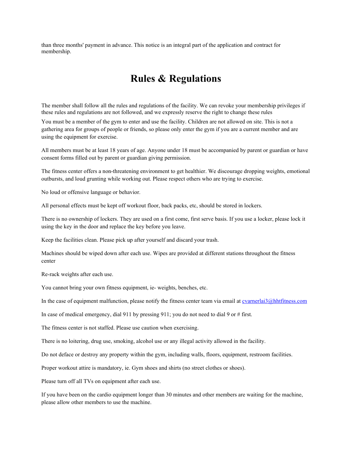than three months' payment in advance. This notice is an integral part of the application and contract for membership.

### **Rules & Regulations**

The member shall follow all the rules and regulations of the facility. We can revoke your membership privileges if these rules and regulations are not followed, and we expressly reserve the right to change these rules

You must be a member of the gym to enter and use the facility. Children are not allowed on site. This is not a gathering area for groups of people or friends, so please only enter the gym if you are a current member and are using the equipment for exercise.

All members must be at least 18 years of age. Anyone under 18 must be accompanied by parent or guardian or have consent forms filled out by parent or guardian giving permission.

The fitness center offers a non-threatening environment to get healthier. We discourage dropping weights, emotional outbursts, and loud grunting while working out. Please respect others who are trying to exercise.

No loud or offensive language or behavior.

All personal effects must be kept off workout floor, back packs, etc, should be stored in lockers.

There is no ownership of lockers. They are used on a first come, first serve basis. If you use a locker, please lock it using the key in the door and replace the key before you leave.

Keep the facilities clean. Please pick up after yourself and discard your trash.

Machines should be wiped down after each use. Wipes are provided at different stations throughout the fitness center

Re-rack weights after each use.

You cannot bring your own fitness equipment, ie- weights, benches, etc.

In the case of equipment malfunction, please notify the fitness center team via email at *cvarnerlai3@hhtfitness.com* 

In case of medical emergency, dial 911 by pressing 911; you do not need to dial 9 or # first.

The fitness center is not staffed. Please use caution when exercising.

There is no loitering, drug use, smoking, alcohol use or any illegal activity allowed in the facility.

Do not deface or destroy any property within the gym, including walls, floors, equipment, restroom facilities.

Proper workout attire is mandatory, ie. Gym shoes and shirts (no street clothes or shoes).

Please turn off all TVs on equipment after each use.

If you have been on the cardio equipment longer than 30 minutes and other members are waiting for the machine, please allow other members to use the machine.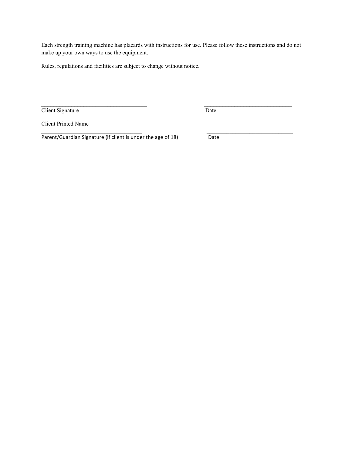Each strength training machine has placards with instructions for use. Please follow these instructions and do not make up your own ways to use the equipment.

 $\mathcal{L}_\mathcal{L} = \mathcal{L}_\mathcal{L} = \mathcal{L}_\mathcal{L} = \mathcal{L}_\mathcal{L} = \mathcal{L}_\mathcal{L} = \mathcal{L}_\mathcal{L} = \mathcal{L}_\mathcal{L} = \mathcal{L}_\mathcal{L} = \mathcal{L}_\mathcal{L} = \mathcal{L}_\mathcal{L} = \mathcal{L}_\mathcal{L} = \mathcal{L}_\mathcal{L} = \mathcal{L}_\mathcal{L} = \mathcal{L}_\mathcal{L} = \mathcal{L}_\mathcal{L} = \mathcal{L}_\mathcal{L} = \mathcal{L}_\mathcal{L}$ 

Rules, regulations and facilities are subject to change without notice.

Client Signature Date

\_\_\_\_\_\_\_\_\_\_\_\_\_\_\_\_\_\_\_\_\_\_\_\_\_\_\_\_\_\_\_\_\_\_\_ \_\_\_\_\_\_\_\_\_\_\_\_\_\_\_\_\_\_\_\_\_\_\_\_\_\_\_\_\_

Client Printed Name

Parent/Guardian Signature (if client is under the age of 18) Date

 $\mathcal{L}_\mathcal{L}$  , which is a set of the set of the set of the set of the set of the set of the set of the set of the set of the set of the set of the set of the set of the set of the set of the set of the set of the set of